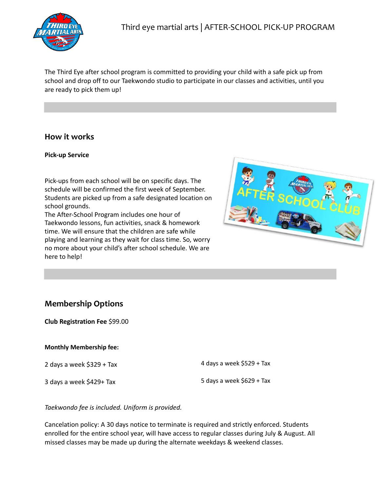

The Third Eye after school program is committed to providing your child with a safe pick up from school and drop off to our Taekwondo studio to participate in our classes and activities, until you are ready to pick them up!

# **How it works**

#### **Pick-up Service**

Pick-ups from each school will be on specific days. The schedule will be confirmed the first week of September. Students are picked up from a safe designated location on school grounds.

The After-School Program includes one hour of Taekwondo lessons, fun activities, snack & homework time. We will ensure that the children are safe while playing and learning as they wait for class time. So, worry no more about your child's after school schedule. We are here to help!



# **Membership Options**

**Club Registration Fee** \$99.00

#### **Monthly Membership fee:**

2 days a week \$329 + Tax

3 days a week \$429+ Tax

4 days a week \$529 + Tax

5 days a week  $$629 + Tax$ 

*Taekwondo fee is included. Uniform is provided.*

Cancelation policy: A 30 days notice to terminate is required and strictly enforced. Students enrolled for the entire school year, will have access to regular classes during July & August. All missed classes may be made up during the alternate weekdays & weekend classes.